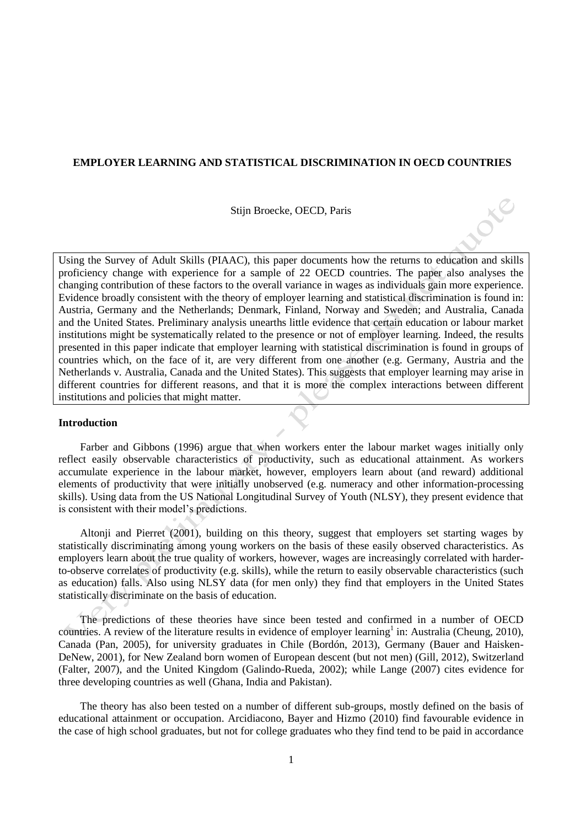# **EMPLOYER LEARNING AND STATISTICAL DISCRIMINATION IN OECD COUNTRIES**

Stijn Broecke, OECD, Paris

Using the Survey of Adult Skills (PIAAC), this paper documents how the returns to education and skills proficiency change with experience for a sample of 22 OECD countries. The paper also analyses the changing contribution of these factors to the overall variance in wages as individuals gain more experience. Evidence broadly consistent with the theory of employer learning and statistical discrimination is found in: Austria, Germany and the Netherlands; Denmark, Finland, Norway and Sweden; and Australia, Canada and the United States. Preliminary analysis unearths little evidence that certain education or labour market institutions might be systematically related to the presence or not of employer learning. Indeed, the results presented in this paper indicate that employer learning with statistical discrimination is found in groups of countries which, on the face of it, are very different from one another (e.g. Germany, Austria and the Netherlands v. Australia, Canada and the United States). This suggests that employer learning may arise in different countries for different reasons, and that it is more the complex interactions between different institutions and policies that might matter.

## **Introduction**

Farber and Gibbons (1996) argue that when workers enter the labour market wages initially only reflect easily observable characteristics of productivity, such as educational attainment. As workers accumulate experience in the labour market, however, employers learn about (and reward) additional elements of productivity that were initially unobserved (e.g. numeracy and other information-processing skills). Using data from the US National Longitudinal Survey of Youth (NLSY), they present evidence that is consistent with their model's predictions.

Altonji and Pierret (2001), building on this theory, suggest that employers set starting wages by statistically discriminating among young workers on the basis of these easily observed characteristics. As employers learn about the true quality of workers, however, wages are increasingly correlated with harderto-observe correlates of productivity (e.g. skills), while the return to easily observable characteristics (such as education) falls. Also using NLSY data (for men only) they find that employers in the United States statistically discriminate on the basis of education.

The predictions of these theories have since been tested and confirmed in a number of OECD countries. A review of the literature results in evidence of employer learning<sup>1</sup> in: Australia (Cheung, 2010), Canada (Pan, 2005), for university graduates in Chile (Bordón, 2013), Germany (Bauer and Haisken-DeNew, 2001), for New Zealand born women of European descent (but not men) (Gill, 2012), Switzerland (Falter, 2007), and the United Kingdom (Galindo-Rueda, 2002); while Lange (2007) cites evidence for three developing countries as well (Ghana, India and Pakistan).

The theory has also been tested on a number of different sub-groups, mostly defined on the basis of educational attainment or occupation. Arcidiacono, Bayer and Hizmo (2010) find favourable evidence in the case of high school graduates, but not for college graduates who they find tend to be paid in accordance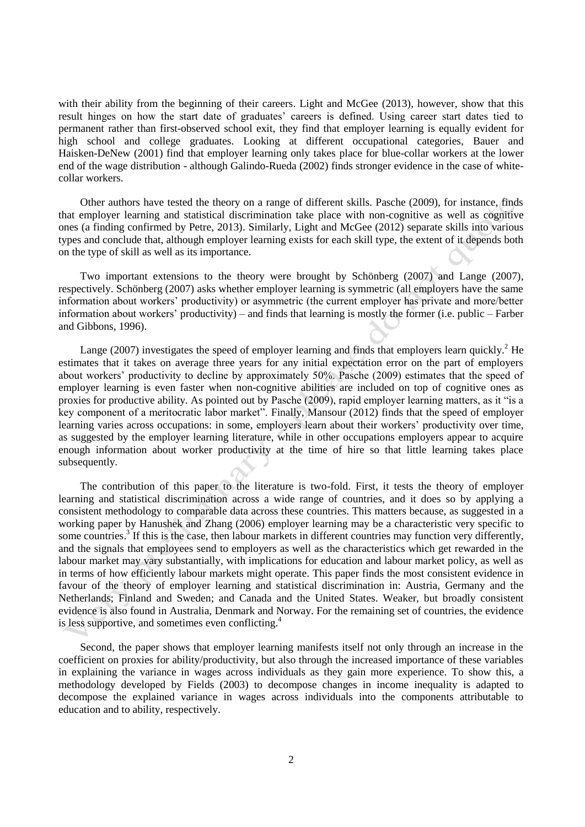with their ability from the beginning of their careers. Light and McGee (2013), however, show that this result hinges on how the start date of graduates' careers is defined. Using career start dates tied to permanent rather than first-observed school exit, they find that employer learning is equally evident for high school and college graduates. Looking at different occupational categories, Bauer and Haisken-DeNew (2001) find that employer learning only takes place for blue-collar workers at the lower end of the wage distribution - although Galindo-Rueda (2002) finds stronger evidence in the case of whitecollar workers.

Other authors have tested the theory on a range of different skills. Pasche (2009), for instance, finds that employer learning and statistical discrimination take place with non-cognitive as well as cognitive ones (a finding confirmed by Petre, 2013). Similarly, Light and McGee (2012) separate skills into various types and conclude that, although employer learning exists for each skill type, the extent of it depends both on the type of skill as well as its importance.

Two important extensions to the theory were brought by Schönberg (2007) and Lange (2007), respectively. Schönberg (2007) asks whether employer learning is symmetric (all employers have the same information about workers' productivity) or asymmetric (the current employer has private and more/better information about workers' productivity) – and finds that learning is mostly the former (i.e. public – Farber and Gibbons, 1996).

Lange (2007) investigates the speed of employer learning and finds that employers learn quickly.<sup>2</sup> He estimates that it takes on average three years for any initial expectation error on the part of employers about workers' productivity to decline by approximately 50%. Pasche (2009) estimates that the speed of employer learning is even faster when non-cognitive abilities are included on top of cognitive ones as proxies for productive ability. As pointed out by Pasche (2009), rapid employer learning matters, as it "is a key component of a meritocratic labor market". Finally, Mansour (2012) finds that the speed of employer learning varies across occupations: in some, employers learn about their workers' productivity over time, as suggested by the employer learning literature, while in other occupations employers appear to acquire enough information about worker productivity at the time of hire so that little learning takes place subsequently.

The contribution of this paper to the literature is two-fold. First, it tests the theory of employer learning and statistical discrimination across a wide range of countries, and it does so by applying a consistent methodology to comparable data across these countries. This matters because, as suggested in a working paper by Hanushek and Zhang (2006) employer learning may be a characteristic very specific to some countries.<sup>3</sup> If this is the case, then labour markets in different countries may function very differently, and the signals that employees send to employers as well as the characteristics which get rewarded in the labour market may vary substantially, with implications for education and labour market policy, as well as in terms of how efficiently labour markets might operate. This paper finds the most consistent evidence in favour of the theory of employer learning and statistical discrimination in: Austria, Germany and the Netherlands; Finland and Sweden; and Canada and the United States. Weaker, but broadly consistent evidence is also found in Australia, Denmark and Norway. For the remaining set of countries, the evidence is less supportive, and sometimes even conflicting.<sup>4</sup>

Second, the paper shows that employer learning manifests itself not only through an increase in the coefficient on proxies for ability/productivity, but also through the increased importance of these variables in explaining the variance in wages across individuals as they gain more experience. To show this, a methodology developed by Fields (2003) to decompose changes in income inequality is adapted to decompose the explained variance in wages across individuals into the components attributable to education and to ability, respectively.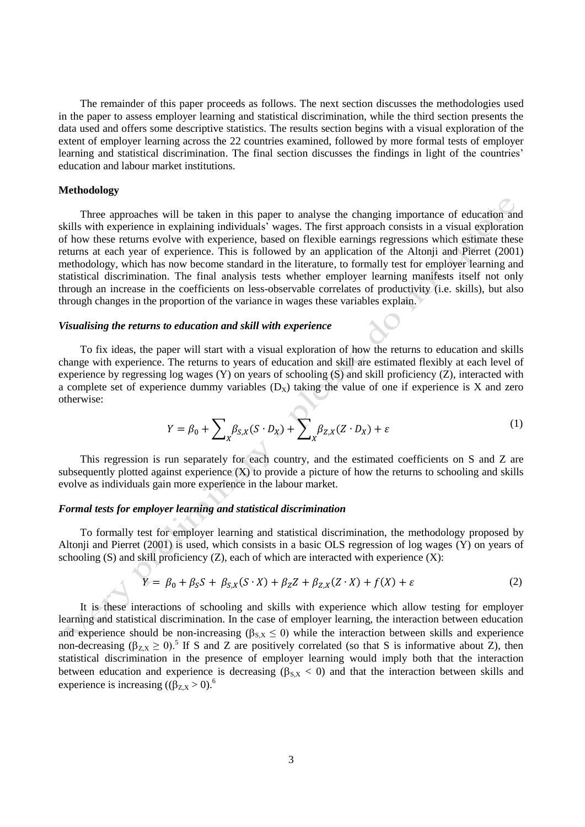The remainder of this paper proceeds as follows. The next section discusses the methodologies used in the paper to assess employer learning and statistical discrimination, while the third section presents the data used and offers some descriptive statistics. The results section begins with a visual exploration of the extent of employer learning across the 22 countries examined, followed by more formal tests of employer learning and statistical discrimination. The final section discusses the findings in light of the countries' education and labour market institutions.

## **Methodology**

Three approaches will be taken in this paper to analyse the changing importance of education and skills with experience in explaining individuals' wages. The first approach consists in a visual exploration of how these returns evolve with experience, based on flexible earnings regressions which estimate these returns at each year of experience. This is followed by an application of the Altonji and Pierret (2001) methodology, which has now become standard in the literature, to formally test for employer learning and statistical discrimination. The final analysis tests whether employer learning manifests itself not only through an increase in the coefficients on less-observable correlates of productivity (i.e. skills), but also through changes in the proportion of the variance in wages these variables explain.

## *Visualising the returns to education and skill with experience*

To fix ideas, the paper will start with a visual exploration of how the returns to education and skills change with experience. The returns to years of education and skill are estimated flexibly at each level of experience by regressing log wages (Y) on years of schooling (S) and skill proficiency (Z), interacted with a complete set of experience dummy variables  $(D_X)$  taking the value of one if experience is X and zero otherwise:

$$
Y = \beta_0 + \sum_X \beta_{S,X}(S \cdot D_X) + \sum_X \beta_{Z,X}(Z \cdot D_X) + \varepsilon
$$
 (1)

This regression is run separately for each country, and the estimated coefficients on S and Z are subsequently plotted against experience  $(X)$  to provide a picture of how the returns to schooling and skills evolve as individuals gain more experience in the labour market.

## *Formal tests for employer learning and statistical discrimination*

To formally test for employer learning and statistical discrimination, the methodology proposed by Altonji and Pierret (2001) is used, which consists in a basic OLS regression of log wages (Y) on years of schooling  $(S)$  and skill proficiency  $(Z)$ , each of which are interacted with experience  $(X)$ :

$$
Y = \beta_0 + \beta_S S + \beta_{S,X}(S \cdot X) + \beta_Z Z + \beta_{Z,X}(Z \cdot X) + f(X) + \varepsilon
$$
\n(2)

It is these interactions of schooling and skills with experience which allow testing for employer learning and statistical discrimination. In the case of employer learning, the interaction between education and experience should be non-increasing ( $\beta_{S,X} \le 0$ ) while the interaction between skills and experience non-decreasing  $(\beta_{Z,X} \ge 0)$ .<sup>5</sup> If S and Z are positively correlated (so that S is informative about Z), then statistical discrimination in the presence of employer learning would imply both that the interaction between education and experience is decreasing ( $\beta_{S,X}$  < 0) and that the interaction between skills and experience is increasing  $((\beta_{Z,X} > 0)^6$ .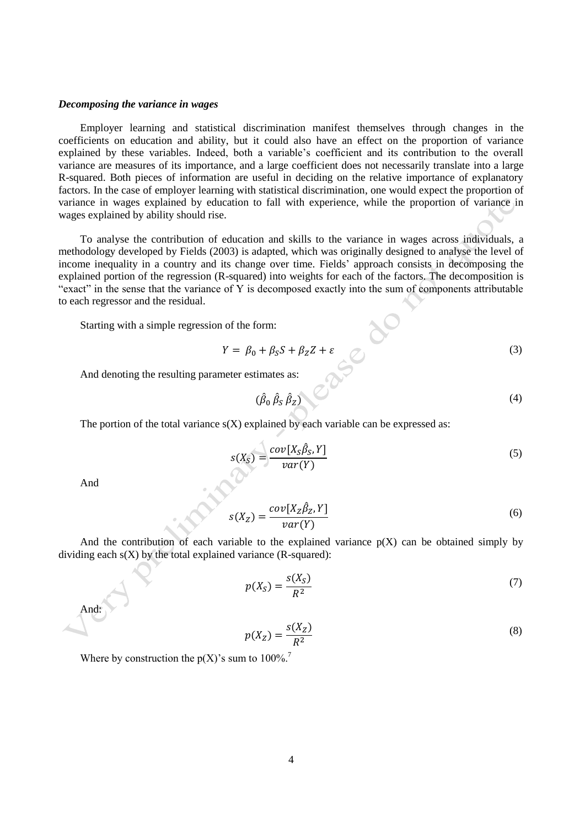## *Decomposing the variance in wages*

Employer learning and statistical discrimination manifest themselves through changes in the coefficients on education and ability, but it could also have an effect on the proportion of variance explained by these variables. Indeed, both a variable's coefficient and its contribution to the overall variance are measures of its importance, and a large coefficient does not necessarily translate into a large R-squared. Both pieces of information are useful in deciding on the relative importance of explanatory factors. In the case of employer learning with statistical discrimination, one would expect the proportion of variance in wages explained by education to fall with experience, while the proportion of variance in wages explained by ability should rise.

To analyse the contribution of education and skills to the variance in wages across individuals, a methodology developed by Fields (2003) is adapted, which was originally designed to analyse the level of income inequality in a country and its change over time. Fields' approach consists in decomposing the explained portion of the regression (R-squared) into weights for each of the factors. The decomposition is "exact" in the sense that the variance of Y is decomposed exactly into the sum of components attributable to each regressor and the residual.

Starting with a simple regression of the form:

$$
Y = \beta_0 + \beta_S S + \beta_Z Z + \varepsilon \tag{3}
$$

And denoting the resulting parameter estimates as:

$$
(\hat{\beta}_0 \hat{\beta}_S \hat{\beta}_Z) \tag{4}
$$

The portion of the total variance  $s(X)$  explained by each variable can be expressed as:

$$
s(X_S) = \frac{cov[X_S \hat{\beta}_S, Y]}{var(Y)}
$$
\n(5)

And

$$
s(X_Z) = \frac{cov[X_Z \hat{\beta}_Z, Y]}{var(Y)}\tag{6}
$$

And the contribution of each variable to the explained variance  $p(X)$  can be obtained simply by dividing each  $s(X)$  by the total explained variance (R-squared):

$$
p(X_S) = \frac{s(X_S)}{R^2} \tag{7}
$$

And: 
$$
\overline{a}
$$

$$
p(X_Z) = \frac{s(X_Z)}{R^2} \tag{8}
$$

Where by construction the  $p(X)$ 's sum to 100%.<sup>7</sup>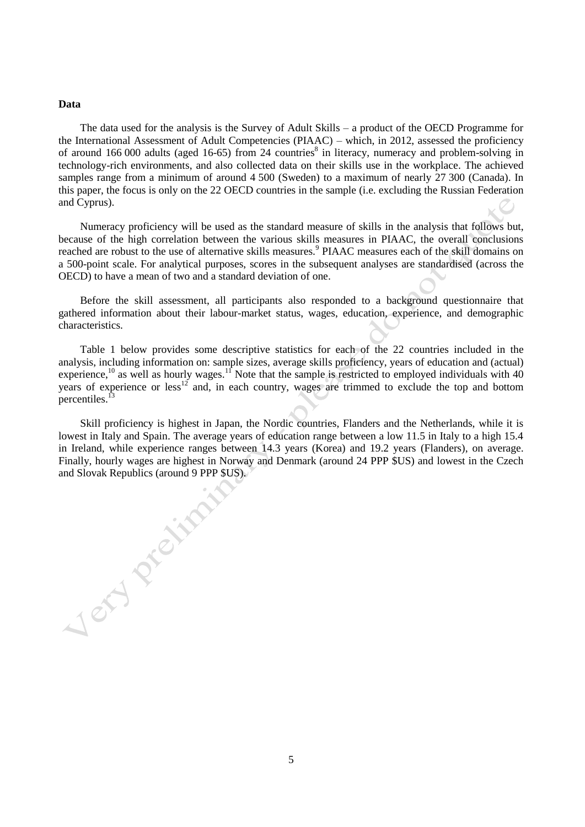## **Data**

Jon Project

The data used for the analysis is the Survey of Adult Skills – a product of the OECD Programme for the International Assessment of Adult Competencies (PIAAC) – which, in 2012, assessed the proficiency of around 166 000 adults (aged 16-65) from 24 countries<sup>8</sup> in literacy, numeracy and problem-solving in technology-rich environments, and also collected data on their skills use in the workplace. The achieved samples range from a minimum of around 4 500 (Sweden) to a maximum of nearly 27 300 (Canada). In this paper, the focus is only on the 22 OECD countries in the sample (i.e. excluding the Russian Federation and Cyprus).

Numeracy proficiency will be used as the standard measure of skills in the analysis that follows but, because of the high correlation between the various skills measures in PIAAC, the overall conclusions reached are robust to the use of alternative skills measures.<sup>9</sup> PIAAC measures each of the skill domains on a 500-point scale. For analytical purposes, scores in the subsequent analyses are standardised (across the OECD) to have a mean of two and a standard deviation of one.

Before the skill assessment, all participants also responded to a background questionnaire that gathered information about their labour-market status, wages, education, experience, and demographic characteristics.

Table 1 below provides some descriptive statistics for each of the 22 countries included in the analysis, including information on: sample sizes, average skills proficiency, years of education and (actual) experience,<sup>10</sup> as well as hourly wages.<sup>11</sup> Note that the sample is restricted to employed individuals with 40 years of experience or less<sup>12</sup> and, in each country, wages are trimmed to exclude the top and bottom percentiles.<sup>1</sup>

Skill proficiency is highest in Japan, the Nordic countries, Flanders and the Netherlands, while it is lowest in Italy and Spain. The average years of education range between a low 11.5 in Italy to a high 15.4 in Ireland, while experience ranges between 14.3 years (Korea) and 19.2 years (Flanders), on average. Finally, hourly wages are highest in Norway and Denmark (around 24 PPP \$US) and lowest in the Czech and Slovak Republics (around 9 PPP \$US).

5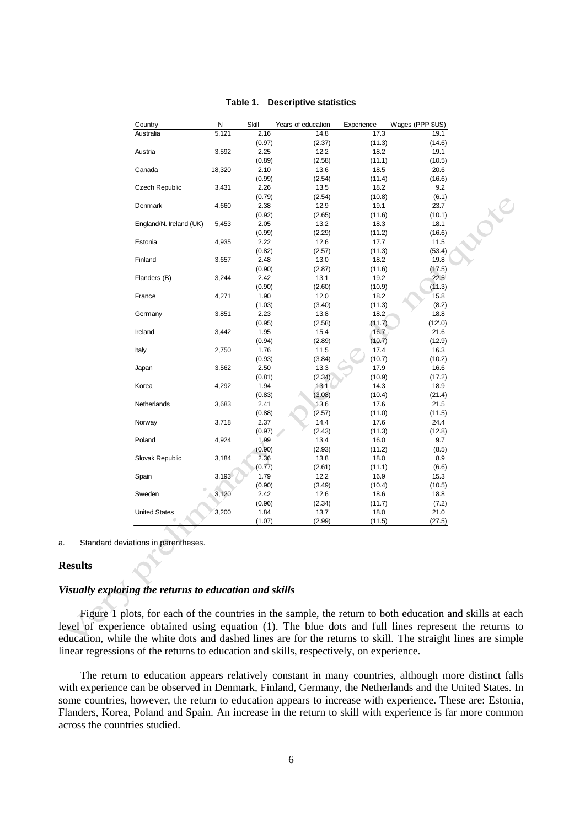| Country                 | ${\sf N}$ | Skill  | Years of education | Experience | Wages (PPP \$US) |
|-------------------------|-----------|--------|--------------------|------------|------------------|
| Australia               | 5,121     | 2.16   | 14.8               | 17.3       | 19.1             |
|                         |           | (0.97) | (2.37)             | (11.3)     | (14.6)           |
| Austria                 | 3,592     | 2.25   | 12.2               | 18.2       | 19.1             |
|                         |           | (0.89) | (2.58)             | (11.1)     | (10.5)           |
| Canada                  | 18,320    | 2.10   | 13.6               | 18.5       | 20.6             |
|                         |           | (0.99) | (2.54)             | (11.4)     | (16.6)           |
| <b>Czech Republic</b>   | 3,431     | 2.26   | 13.5               | 18.2       | 9.2              |
|                         |           | (0.79) | (2.54)             | (10.8)     | (6.1)            |
| Denmark                 | 4,660     | 2.38   | 12.9               | 19.1       | 23.7             |
|                         |           | (0.92) | (2.65)             | (11.6)     | (10.1)           |
| England/N. Ireland (UK) | 5,453     | 2.05   | 13.2               | 18.3       | 18.1             |
|                         |           | (0.99) | (2.29)             | (11.2)     | (16.6)           |
| Estonia                 | 4,935     | 2.22   | 12.6               | 17.7       | 11.5             |
|                         |           | (0.82) | (2.57)             | (11.3)     | (53.4)           |
| Finland                 | 3,657     | 2.48   | 13.0               | 18.2       | 19.8             |
|                         |           | (0.90) | (2.87)             | (11.6)     | (17.5)           |
| Flanders (B)            | 3,244     | 2.42   | 13.1               | 19.2       | 22.5             |
|                         |           | (0.90) | (2.60)             | (10.9)     | (11.3)           |
| France                  | 4,271     | 1.90   | 12.0               | 18.2       | 15.8             |
|                         |           | (1.03) | (3.40)             | (11.3)     | (8.2)            |
| Germany                 | 3,851     | 2.23   | 13.8               | 18.2       | 18.8             |
|                         |           | (0.95) | (2.58)             | (11.7)     | (12'.0)          |
| Ireland                 | 3,442     | 1.95   | 15.4               | 16.7       | 21.6             |
|                         |           | (0.94) | (2.89)             | (10.7)     | (12.9)           |
| Italy                   | 2,750     | 1.76   | 11.5               | 17.4       | 16.3             |
|                         |           | (0.93) | (3.84)             | (10.7)     | (10.2)           |
| Japan                   | 3,562     | 2.50   | 13.3               | 17.9       | 16.6             |
|                         |           | (0.81) | (2.34)             | (10.9)     | (17.2)           |
| Korea                   | 4,292     | 1.94   | 13.1               | 14.3       | 18.9             |
|                         |           | (0.83) | (3.08)             | (10.4)     | (21.4)           |
| Netherlands             | 3,683     | 2.41   | 13.6               | 17.6       | 21.5             |
|                         |           | (0.88) | (2.57)             | (11.0)     | (11.5)           |
| Norway                  | 3,718     | 2.37   | 14.4               | 17.6       | 24.4             |
|                         |           | (0.97) | (2.43)             | (11.3)     | (12.8)           |
| Poland                  | 4,924     | 1.99   | 13.4               | 16.0       | 9.7              |
|                         |           | (0.90) | (2.93)             | (11.2)     | (8.5)            |
| Slovak Republic         | 3,184     | 2.36   | 13.8               | 18.0       | 8.9              |
|                         |           | (0.77) | (2.61)             | (11.1)     | (6.6)            |
| Spain                   | 3,193     | 1.79   | 12.2               | 16.9       | 15.3             |
|                         |           | (0.90) | (3.49)             | (10.4)     | (10.5)           |
| Sweden                  | 3,120     | 2.42   | 12.6               | 18.6       | 18.8             |
|                         |           | (0.96) | (2.34)             | (11.7)     | (7.2)            |
| <b>United States</b>    | 3,200     | 1.84   | 13.7               | 18.0       | 21.0             |
|                         |           | (1.07) | (2.99)             | (11.5)     | (27.5)           |

## **Table 1. Descriptive statistics**

a. Standard deviations in parentheses.

# **Results**

## *Visually exploring the returns to education and skills*

Figure 1 plots, for each of the countries in the sample, the return to both education and skills at each level of experience obtained using equation (1). The blue dots and full lines represent the returns to education, while the white dots and dashed lines are for the returns to skill. The straight lines are simple linear regressions of the returns to education and skills, respectively, on experience.

The return to education appears relatively constant in many countries, although more distinct falls with experience can be observed in Denmark, Finland, Germany, the Netherlands and the United States. In some countries, however, the return to education appears to increase with experience. These are: Estonia, Flanders, Korea, Poland and Spain. An increase in the return to skill with experience is far more common across the countries studied.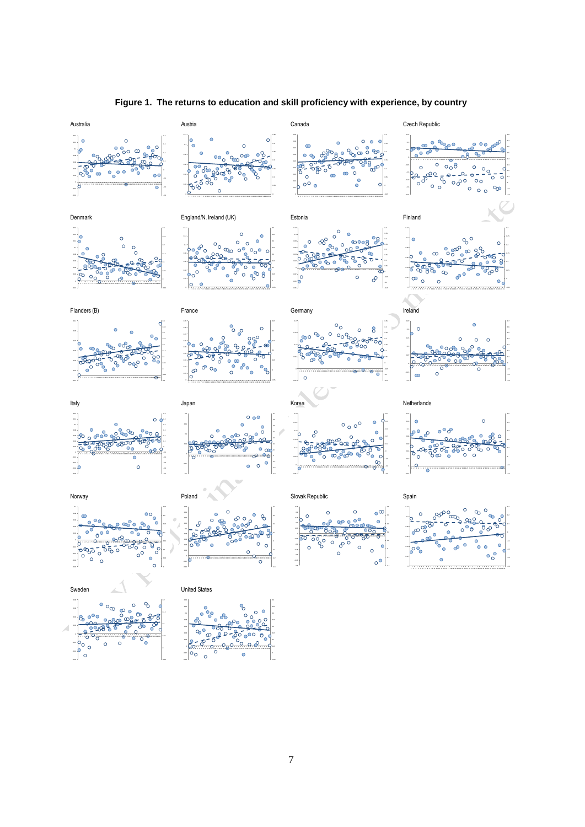

# **Figure 1. The returns to education and skill proficiency with experience, by country**

-0.05

1 2 3 4 5 6 7 8 9 10 11 12 13 14 15 16 17 18 19 20 21 22 23 24 25 26 27 28 29 30 31 32 33 34 35 36 37 38 39 40 41

 $\circ$ 

 $\circ$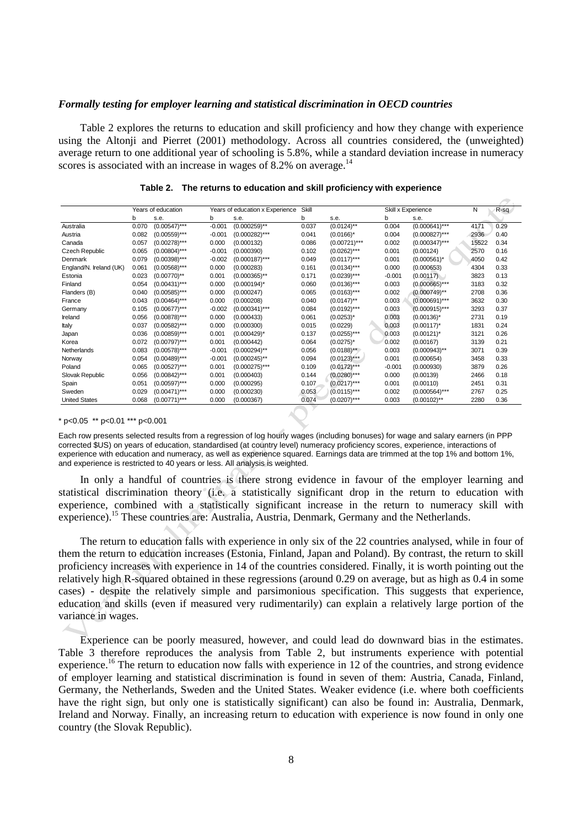## *Formally testing for employer learning and statistical discrimination in OECD countries*

Table 2 explores the returns to education and skill proficiency and how they change with experience using the Altonji and Pierret (2001) methodology. Across all countries considered, the (unweighted) average return to one additional year of schooling is 5.8%, while a standard deviation increase in numeracy scores is associated with an increase in wages of 8.2% on average.<sup>14</sup>

|                         |       | Years of education |          | Years of education x Experience | Skill |                | Skill x Experience |                  | N     | $R-sq$ |
|-------------------------|-------|--------------------|----------|---------------------------------|-------|----------------|--------------------|------------------|-------|--------|
|                         | b     | s.e.               | b        | s.e.                            | b     | s.e.           | b                  | s.e.             |       |        |
| Australia               | 0.070 | $(0.00547)$ ***    | $-0.001$ | $(0.000259)$ **                 | 0.037 | $(0.0124)$ **  | 0.004              | $(0.000641)$ *** | 4171  | 0.29   |
| Austria                 | 0.082 | $(0.00559)$ ***    | $-0.001$ | $(0.000282)$ ***                | 0.041 | $(0.0166)^*$   | 0.004              | $(0.000827)$ *** | 2936  | 0.40   |
| Canada                  | 0.057 | $(0.00278)***$     | 0.000    | (0.000132)                      | 0.086 | $(0.00721)***$ | 0.002              | $(0.000347)$ *** | 15522 | 0.34   |
| Czech Republic          | 0.065 | $(0.00804)$ ***    | $-0.001$ | (0.000390)                      | 0.102 | $(0.0262)$ *** | 0.001              | (0.00124)        | 2570  | 0.16   |
| Denmark                 | 0.079 | $(0.00398)***$     | $-0.002$ | $(0.000187)$ ***                | 0.049 | $(0.0117)***$  | 0.001              | $(0.000561)^*$   | 4050  | 0.42   |
| England/N. Ireland (UK) | 0.061 | $(0.00568)$ ***    | 0.000    | (0.000283)                      | 0.161 | $(0.0134)***$  | 0.000              | (0.000653)       | 4304  | 0.33   |
| Estonia                 | 0.023 | $(0.00770)$ **     | 0.001    | $(0.000365)$ **                 | 0.171 | $(0.0239)***$  | $-0.001$           | (0.00117)        | 3823  | 0.13   |
| Finland                 | 0.054 | $(0.00431)$ ***    | 0.000    | $(0.000194)^*$                  | 0.060 | $(0.0136)$ *** | 0.003              | $(0.000665)$ *** | 3183  | 0.32   |
| Flanders (B)            | 0.040 | (0.00585)***       | 0.000    | (0.000247)                      | 0.065 | $(0.0163)$ *** | 0.002              | $(0.000749)$ **  | 2708  | 0.36   |
| France                  | 0.043 | $(0.00464)$ ***    | 0.000    | (0.000208)                      | 0.040 | $(0.0147)$ **  | 0.003              | $(0.000691)$ *** | 3632  | 0.30   |
| Germany                 | 0.105 | $(0.00677)$ ***    | $-0.002$ | $(0.000341)$ ***                | 0.084 | $(0.0192)***$  | 0.003              | $(0.000915)$ *** | 3293  | 0.37   |
| Ireland                 | 0.056 | $(0.00878)***$     | 0.000    | (0.000433)                      | 0.061 | $(0.0253)^*$   | 0.003              | $(0.00136)^*$    | 2731  | 0.19   |
| Italy                   | 0.037 | $(0.00582)***$     | 0.000    | (0.000300)                      | 0.015 | (0.0229)       | 0.003              | $(0.00117)^*$    | 1831  | 0.24   |
| Japan                   | 0.036 | $(0.00859)$ ***    | 0.001    | $(0.000429)^*$                  | 0.137 | $(0.0255)$ *** | 0.003              | $(0.00121)^*$    | 3121  | 0.26   |
| Korea                   | 0.072 | $(0.00797)$ ***    | 0.001    | (0.000442)                      | 0.064 | $(0.0275)^*$   | 0.002              | (0.00167)        | 3139  | 0.21   |
| Netherlands             | 0.083 | $(0.00578)$ ***    | $-0.001$ | $(0.000294)$ **                 | 0.056 | $(0.0188)$ **  | 0.003              | $(0.000943)$ **  | 3071  | 0.39   |
| Norway                  | 0.054 | $(0.00489)$ ***    | $-0.001$ | $(0.000245)$ **                 | 0.094 | $(0.0123)***$  | 0.001              | (0.000654)       | 3458  | 0.33   |
| Poland                  | 0.065 | $(0.00527)$ ***    | 0.001    | $(0.000275)$ ***                | 0.109 | $(0.0172)***$  | $-0.001$           | (0.000930)       | 3879  | 0.26   |
| Slovak Republic         | 0.056 | $(0.00842)$ ***    | 0.001    | (0.000403)                      | 0.144 | $(0.0280)$ *** | 0.000              | (0.00139)        | 2466  | 0.18   |
| Spain                   | 0.051 | $(0.00597)$ ***    | 0.000    | (0.000295)                      | 0.107 | $(0.0217)***$  | 0.001              | (0.00110)        | 2451  | 0.31   |
| Sweden                  | 0.029 | $(0.00471)$ ***    | 0.000    | (0.000230)                      | 0.053 | $(0.0115)***$  | 0.002              | $(0.000564)$ *** | 2767  | 0.25   |
| <b>United States</b>    | 0.068 | $(0.00771)$ ***    | 0.000    | (0.000367)                      | 0.074 | $(0.0207)$ *** | 0.003              | $(0.00102)$ **   | 2280  | 0.36   |

|  | Table 2. The returns to education and skill proficiency with experience |  |  |  |  |  |
|--|-------------------------------------------------------------------------|--|--|--|--|--|
|--|-------------------------------------------------------------------------|--|--|--|--|--|

#### \* p<0.05 \*\* p<0.01 \*\*\* p<0.001

Each row presents selected results from a regression of log hourly wages (including bonuses) for wage and salary earners (in PPP corrected \$US) on years of education, standardised (at country level) numeracy proficiency scores, experience, interactions of experience with education and numeracy, as well as experience squared. Earnings data are trimmed at the top 1% and bottom 1%, and experience is restricted to 40 years or less. All analysis is weighted.

In only a handful of countries is there strong evidence in favour of the employer learning and statistical discrimination theory (i.e. a statistically significant drop in the return to education with experience, combined with a statistically significant increase in the return to numeracy skill with experience).<sup>15</sup> These countries are: Australia, Austria, Denmark, Germany and the Netherlands.

The return to education falls with experience in only six of the 22 countries analysed, while in four of them the return to education increases (Estonia, Finland, Japan and Poland). By contrast, the return to skill proficiency increases with experience in 14 of the countries considered. Finally, it is worth pointing out the relatively high R-squared obtained in these regressions (around 0.29 on average, but as high as 0.4 in some cases) - despite the relatively simple and parsimonious specification. This suggests that experience, education and skills (even if measured very rudimentarily) can explain a relatively large portion of the variance in wages.

Experience can be poorly measured, however, and could lead do downward bias in the estimates. Table 3 therefore reproduces the analysis from Table 2, but instruments experience with potential experience.<sup>16</sup> The return to education now falls with experience in 12 of the countries, and strong evidence of employer learning and statistical discrimination is found in seven of them: Austria, Canada, Finland, Germany, the Netherlands, Sweden and the United States. Weaker evidence (i.e. where both coefficients have the right sign, but only one is statistically significant) can also be found in: Australia, Denmark, Ireland and Norway. Finally, an increasing return to education with experience is now found in only one country (the Slovak Republic).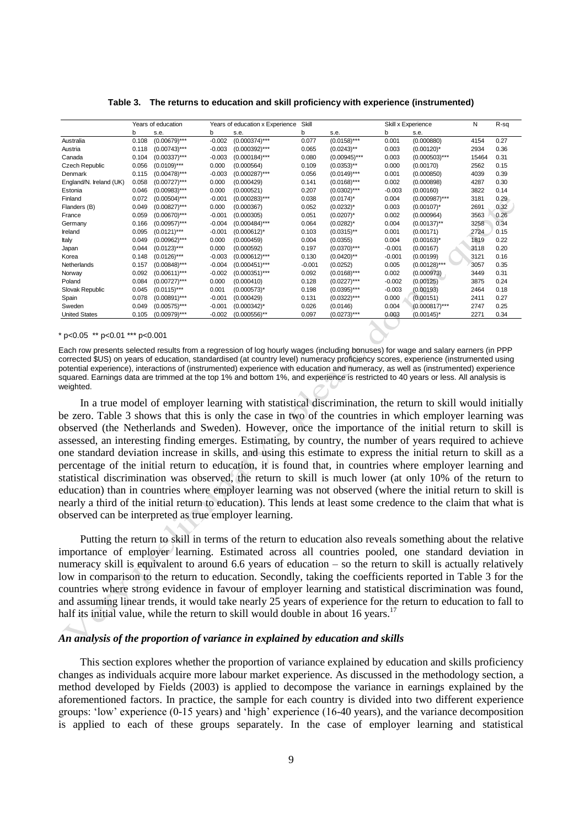|                         | Years of education<br>Years of education x Experience |                 |          |                  | Skill    |                 |          | Skill x Experience |       | R-sq |
|-------------------------|-------------------------------------------------------|-----------------|----------|------------------|----------|-----------------|----------|--------------------|-------|------|
|                         | b                                                     | s.e.            | b        | s.e.             | b        | s.e.            | b        | s.e.               |       |      |
| Australia               | 0.108                                                 | $(0.00679)$ *** | $-0.002$ | $(0.000374)$ *** | 0.077    | $(0.0158)***$   | 0.001    | (0.000880)         | 4154  | 0.27 |
| Austria                 | 0.118                                                 | $(0.00743)***$  | $-0.003$ | $(0.000392)$ *** | 0.065    | $(0.0243)$ **   | 0.003    | $(0.00120)^*$      | 2934  | 0.36 |
| Canada                  | 0.104                                                 | $(0.00337)$ *** | $-0.003$ | $(0.000184)$ *** | 0.080    | $(0.00945)$ *** | 0.003    | $(0.000503)$ ***   | 15464 | 0.31 |
| <b>Czech Republic</b>   | 0.056                                                 | $(0.0109)***$   | 0.000    | (0.000564)       | 0.109    | $(0.0353)$ **   | 0.000    | (0.00170)          | 2562  | 0.15 |
| Denmark                 | 0.115                                                 | $(0.00478)$ *** | $-0.003$ | $(0.000287)$ *** | 0.056    | $(0.0149)***$   | 0.001    | (0.000850)         | 4039  | 0.39 |
| England/N. Ireland (UK) | 0.058                                                 | $(0.00727)$ *** | 0.000    | (0.000429)       | 0.141    | $(0.0168)***$   | 0.002    | (0.000898)         | 4287  | 0.30 |
| Estonia                 | 0.046                                                 | $(0.00983)***$  | 0.000    | (0.000521)       | 0.207    | $(0.0302)***$   | $-0.003$ | (0.00160)          | 3822  | 0.14 |
| Finland                 | 0.072                                                 | $(0.00504)$ *** | $-0.001$ | $(0.000283)$ *** | 0.038    | $(0.0174)^*$    | 0.004    | $(0.000987)$ ***   | 3181  | 0.29 |
| Flanders (B)            | 0.049                                                 | $(0.00827)$ *** | 0.000    | (0.000367)       | 0.052    | $(0.0232)^{*}$  | 0.003    | $(0.00107)^*$      | 2691  | 0.32 |
| France                  | 0.059                                                 | $(0.00670)$ *** | $-0.001$ | (0.000305)       | 0.051    | $(0.0207)^*$    | 0.002    | (0.000964)         | 3563  | 0.26 |
| Germany                 | 0.166                                                 | $(0.00957)$ *** | $-0.004$ | $(0.000484)$ *** | 0.064    | $(0.0282)^*$    | 0.004    | $(0.00137)$ **     | 3258  | 0.34 |
| Ireland                 | 0.095                                                 | $(0.0121)***$   | $-0.001$ | $(0.000612)^{*}$ | 0.103    | $(0.0315)$ **   | 0.001    | (0.00171)          | 2724  | 0.15 |
| Italy                   | 0.049                                                 | $(0.00962)$ *** | 0.000    | (0.000459)       | 0.004    | (0.0355)        | 0.004    | $(0.00163)^{*}$    | 1819  | 0.22 |
| Japan                   | 0.044                                                 | $(0.0123)***$   | 0.000    | (0.000592)       | 0.197    | $(0.0370)$ ***  | $-0.001$ | (0.00167)          | 3118  | 0.20 |
| Korea                   | 0.148                                                 | $(0.0126)***$   | $-0.003$ | $(0.000612)$ *** | 0.130    | $(0.0420)$ **   | $-0.001$ | (0.00199)          | 3121  | 0.16 |
| Netherlands             | 0.157                                                 | $(0.00848)$ *** | $-0.004$ | $(0.000451)$ *** | $-0.001$ | (0.0252)        | 0.005    | $(0.00128)$ ***    | 3057  | 0.35 |
| Norway                  | 0.092                                                 | $(0.00611)***$  | $-0.002$ | $(0.000351)$ *** | 0.092    | $(0.0168)$ ***  | 0.002    | (0.000973)         | 3449  | 0.31 |
| Poland                  | 0.084                                                 | $(0.00727)$ *** | 0.000    | (0.000410)       | 0.128    | $(0.0227)***$   | $-0.002$ | (0.00125)          | 3875  | 0.24 |
| Slovak Republic         | 0.045                                                 | $(0.0115)***$   | 0.001    | $(0.000573)^*$   | 0.198    | $(0.0395)$ ***  | $-0.003$ | (0.00193)          | 2464  | 0.18 |
| Spain                   | 0.078                                                 | $(0.00891)$ *** | $-0.001$ | (0.000429)       | 0.131    | $(0.0322)***$   | 0.000    | (0.00151)          | 2411  | 0.27 |
| Sweden                  | 0.049                                                 | $(0.00575)$ *** | $-0.001$ | $(0.000342)^*$   | 0.026    | (0.0146)        | 0.004    | $(0.000817)$ ***   | 2747  | 0.25 |
| <b>United States</b>    | 0.105                                                 | $(0.00979)$ *** | $-0.002$ | $(0.000556)$ **  | 0.097    | $(0.0273)$ ***  | 0.003    | $(0.00145)^*$      | 2271  | 0.34 |

**Table 3. The returns to education and skill proficiency with experience (instrumented)**

\* p<0.05 \*\* p<0.01 \*\*\* p<0.001

Each row presents selected results from a regression of log hourly wages (including bonuses) for wage and salary earners (in PPP corrected \$US) on years of education, standardised (at country level) numeracy proficiency scores, experience (instrumented using potential experience), interactions of (instrumented) experience with education and numeracy, as well as (instrumented) experience squared. Earnings data are trimmed at the top 1% and bottom 1%, and experience is restricted to 40 years or less. All analysis is weighted.

In a true model of employer learning with statistical discrimination, the return to skill would initially be zero. Table 3 shows that this is only the case in two of the countries in which employer learning was observed (the Netherlands and Sweden). However, once the importance of the initial return to skill is assessed, an interesting finding emerges. Estimating, by country, the number of years required to achieve one standard deviation increase in skills, and using this estimate to express the initial return to skill as a percentage of the initial return to education, it is found that, in countries where employer learning and statistical discrimination was observed, the return to skill is much lower (at only 10% of the return to education) than in countries where employer learning was not observed (where the initial return to skill is nearly a third of the initial return to education). This lends at least some credence to the claim that what is observed can be interpreted as true employer learning.

Putting the return to skill in terms of the return to education also reveals something about the relative importance of employer learning. Estimated across all countries pooled, one standard deviation in numeracy skill is equivalent to around 6.6 years of education – so the return to skill is actually relatively low in comparison to the return to education. Secondly, taking the coefficients reported in Table 3 for the countries where strong evidence in favour of employer learning and statistical discrimination was found, and assuming linear trends, it would take nearly 25 years of experience for the return to education to fall to half its initial value, while the return to skill would double in about 16 years.<sup>17</sup>

#### *An analysis of the proportion of variance in explained by education and skills*

This section explores whether the proportion of variance explained by education and skills proficiency changes as individuals acquire more labour market experience. As discussed in the methodology section, a method developed by Fields (2003) is applied to decompose the variance in earnings explained by the aforementioned factors. In practice, the sample for each country is divided into two different experience groups: 'low' experience (0-15 years) and 'high' experience (16-40 years), and the variance decomposition is applied to each of these groups separately. In the case of employer learning and statistical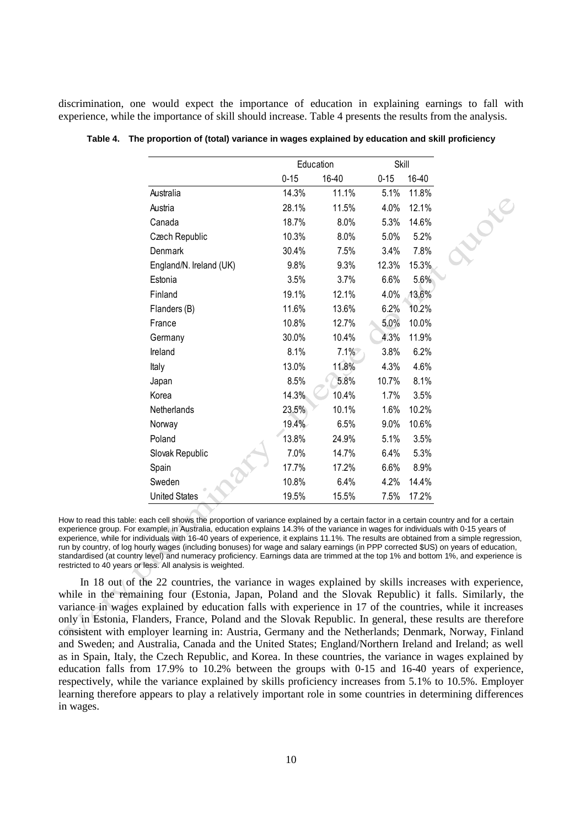discrimination, one would expect the importance of education in explaining earnings to fall with experience, while the importance of skill should increase. Table 4 presents the results from the analysis.

|                         |          | Education | Skill    |       |
|-------------------------|----------|-----------|----------|-------|
|                         | $0 - 15$ | 16-40     | $0 - 15$ | 16-40 |
| Australia               | 14.3%    | 11.1%     | 5.1%     | 11.8% |
| Austria                 | 28.1%    | 11.5%     | 4.0%     | 12.1% |
| Canada                  | 18.7%    | 8.0%      | 5.3%     | 14.6% |
| Czech Republic          | 10.3%    | 8.0%      | 5.0%     | 5.2%  |
| Denmark                 | 30.4%    | 7.5%      | 3.4%     | 7.8%  |
| England/N. Ireland (UK) | 9.8%     | 9.3%      | 12.3%    | 15.3% |
| Estonia                 | 3.5%     | 3.7%      | 6.6%     | 5.6%  |
| Finland                 | 19.1%    | 12.1%     | 4.0%     | 13.6% |
| Flanders (B)            | 11.6%    | 13.6%     | 6.2%     | 10.2% |
| France                  | 10.8%    | 12.7%     | 5.0%     | 10.0% |
| Germany                 | 30.0%    | 10.4%     | 4.3%     | 11.9% |
| Ireland                 | 8.1%     | 7.1%      | 3.8%     | 6.2%  |
| Italy                   | 13.0%    | 11.8%     | 4.3%     | 4.6%  |
| Japan                   | 8.5%     | 5.8%      | 10.7%    | 8.1%  |
| Korea                   | 14.3%    | 10.4%     | 1.7%     | 3.5%  |
| Netherlands             | 23.5%    | 10.1%     | 1.6%     | 10.2% |
| Norway                  | 19.4%    | 6.5%      | 9.0%     | 10.6% |
| Poland                  | 13.8%    | 24.9%     | 5.1%     | 3.5%  |
| Slovak Republic         | 7.0%     | 14.7%     | 6.4%     | 5.3%  |
| Spain                   | 17.7%    | 17.2%     | 6.6%     | 8.9%  |
| Sweden                  | 10.8%    | 6.4%      | 4.2%     | 14.4% |
| <b>United States</b>    | 19.5%    | 15.5%     | 7.5%     | 17.2% |

Rucke

**Table 4. The proportion of (total) variance in wages explained by education and skill proficiency**

How to read this table: each cell shows the proportion of variance explained by a certain factor in a certain country and for a certain experience group. For example, in Australia, education explains 14.3% of the variance in wages for individuals with 0-15 years of experience, while for individuals with 16-40 years of experience, it explains 11.1%. The results are obtained from a simple regression, run by country, of log hourly wages (including bonuses) for wage and salary earnings (in PPP corrected \$US) on years of education, standardised (at country level) and numeracy proficiency. Earnings data are trimmed at the top 1% and bottom 1%, and experience is restricted to 40 years or less. All analysis is weighted.

In 18 out of the 22 countries, the variance in wages explained by skills increases with experience, while in the remaining four (Estonia, Japan, Poland and the Slovak Republic) it falls. Similarly, the variance in wages explained by education falls with experience in 17 of the countries, while it increases only in Estonia, Flanders, France, Poland and the Slovak Republic. In general, these results are therefore consistent with employer learning in: Austria, Germany and the Netherlands; Denmark, Norway, Finland and Sweden; and Australia, Canada and the United States; England/Northern Ireland and Ireland; as well as in Spain, Italy, the Czech Republic, and Korea. In these countries, the variance in wages explained by education falls from 17.9% to 10.2% between the groups with 0-15 and 16-40 years of experience, respectively, while the variance explained by skills proficiency increases from 5.1% to 10.5%. Employer learning therefore appears to play a relatively important role in some countries in determining differences in wages.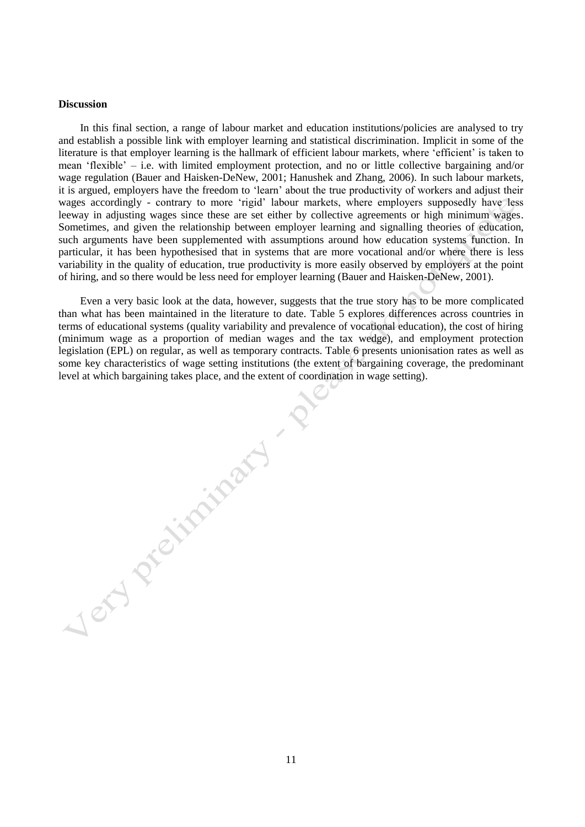## **Discussion**

In this final section, a range of labour market and education institutions/policies are analysed to try and establish a possible link with employer learning and statistical discrimination. Implicit in some of the literature is that employer learning is the hallmark of efficient labour markets, where 'efficient' is taken to mean 'flexible' – i.e. with limited employment protection, and no or little collective bargaining and/or wage regulation (Bauer and Haisken-DeNew, 2001; Hanushek and Zhang, 2006). In such labour markets, it is argued, employers have the freedom to 'learn' about the true productivity of workers and adjust their wages accordingly - contrary to more 'rigid' labour markets, where employers supposedly have less leeway in adjusting wages since these are set either by collective agreements or high minimum wages. Sometimes, and given the relationship between employer learning and signalling theories of education, such arguments have been supplemented with assumptions around how education systems function. In particular, it has been hypothesised that in systems that are more vocational and/or where there is less variability in the quality of education, true productivity is more easily observed by employers at the point of hiring, and so there would be less need for employer learning (Bauer and Haisken-DeNew, 2001).

Even a very basic look at the data, however, suggests that the true story has to be more complicated than what has been maintained in the literature to date. Table 5 explores differences across countries in terms of educational systems (quality variability and prevalence of vocational education), the cost of hiring (minimum wage as a proportion of median wages and the tax wedge), and employment protection legislation (EPL) on regular, as well as temporary contracts. Table 6 presents unionisation rates as well as some key characteristics of wage setting institutions (the extent of bargaining coverage, the predominant level at which bargaining takes place, and the extent of coordination in wage setting).

Jery precisionant and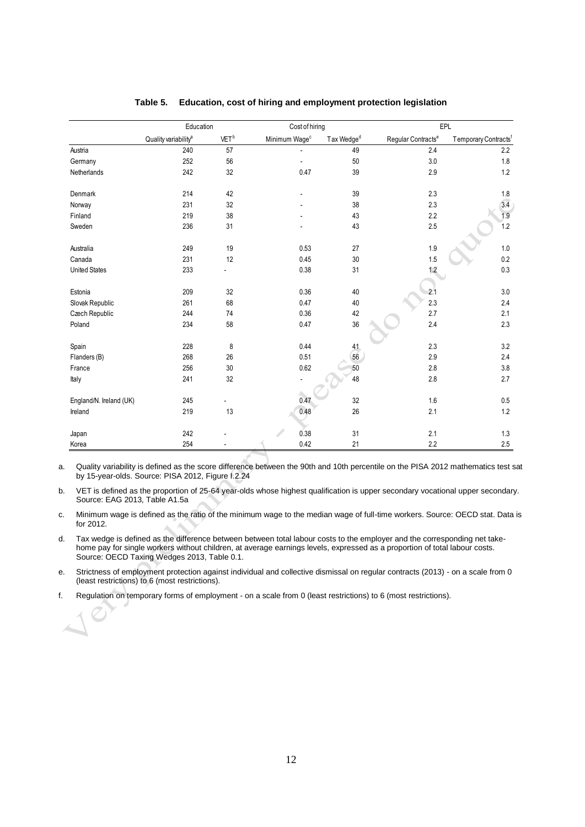|                         | Education                        |                  | Cost of hiring            |                        |                                | <b>EPL</b>                       |
|-------------------------|----------------------------------|------------------|---------------------------|------------------------|--------------------------------|----------------------------------|
|                         | Quality variability <sup>a</sup> | VET <sup>b</sup> | Minimum Wage <sup>c</sup> | Tax Wedge <sup>d</sup> | Regular Contracts <sup>e</sup> | Temporary Contracts <sup>f</sup> |
| Austria                 | 240                              | 57               |                           | 49                     | 2.4                            | 2.2                              |
| Germany                 | 252                              | 56               |                           | 50                     | $3.0\,$                        | 1.8                              |
| Netherlands             | 242                              | 32               | 0.47                      | 39                     | 2.9                            | $1.2\,$                          |
| Denmark                 | 214                              | 42               |                           | 39                     | 2.3                            | 1.8                              |
| Norway                  | 231                              | 32               |                           | 38                     | 2.3                            | 3.4                              |
| Finland                 | 219                              | 38               |                           | 43                     | 2.2                            | 1.9                              |
| Sweden                  | 236                              | 31               |                           | 43                     | 2.5                            | 1.2                              |
| Australia               | 249                              | 19               | 0.53                      | 27                     | 1.9                            | $1.0\,$                          |
| Canada                  | 231                              | 12               | 0.45                      | $30\,$                 | 1.5                            | 0.2                              |
| <b>United States</b>    | 233                              |                  | 0.38                      | 31                     | 1.2                            | $0.3\,$                          |
| Estonia                 | 209                              | 32               | 0.36                      | 40                     | 2.1                            | $3.0\,$                          |
| Slovak Republic         | 261                              | 68               | 0.47                      | 40                     | 2.3                            | 2.4                              |
| Czech Republic          | 244                              | 74               | 0.36                      | 42                     | 2.7                            | 2.1                              |
| Poland                  | 234                              | 58               | 0.47                      | 36                     | 2.4                            | 2.3                              |
| Spain                   | 228                              | 8                | 0.44                      | 41                     | 2.3                            | 3.2                              |
| Flanders (B)            | 268                              | 26               | 0.51                      | 56                     | 2.9                            | 2.4                              |
| France                  | 256                              | 30               | 0.62                      | 50                     | 2.8                            | $3.8\,$                          |
| Italy                   | 241                              | 32               |                           | 48                     | 2.8                            | 2.7                              |
| England/N. Ireland (UK) | 245                              |                  | 0.47                      | 32                     | $1.6\,$                        | $0.5\,$                          |
| Ireland                 | 219                              | 13               | 0.48                      | 26                     | 2.1                            | $1.2$                            |
|                         |                                  |                  |                           |                        |                                |                                  |
| Japan                   | 242                              |                  | 0.38                      | 31                     | 2.1                            | $1.3$                            |
| Korea                   | 254                              |                  | 0.42                      | 21                     | 2.2                            | 2.5                              |

# **Table 5. Education, cost of hiring and employment protection legislation**

a. Quality variability is defined as the score difference between the 90th and 10th percentile on the PISA 2012 mathematics test sat by 15-year-olds. Source: PISA 2012, Figure I.2.24

b. VET is defined as the proportion of 25-64 year-olds whose highest qualification is upper secondary vocational upper secondary. Source: EAG 2013, Table A1.5a

c. Minimum wage is defined as the ratio of the minimum wage to the median wage of full-time workers. Source: OECD stat. Data is for 2012.

d. Tax wedge is defined as the difference between between total labour costs to the employer and the corresponding net takehome pay for single workers without children, at average earnings levels, expressed as a proportion of total labour costs. Source: OECD Taxing Wedges 2013, Table 0.1.

e. Strictness of employment protection against individual and collective dismissal on regular contracts (2013) - on a scale from 0 (least restrictions) to 6 (most restrictions).

f. Regulation on temporary forms of employment - on a scale from 0 (least restrictions) to 6 (most restrictions).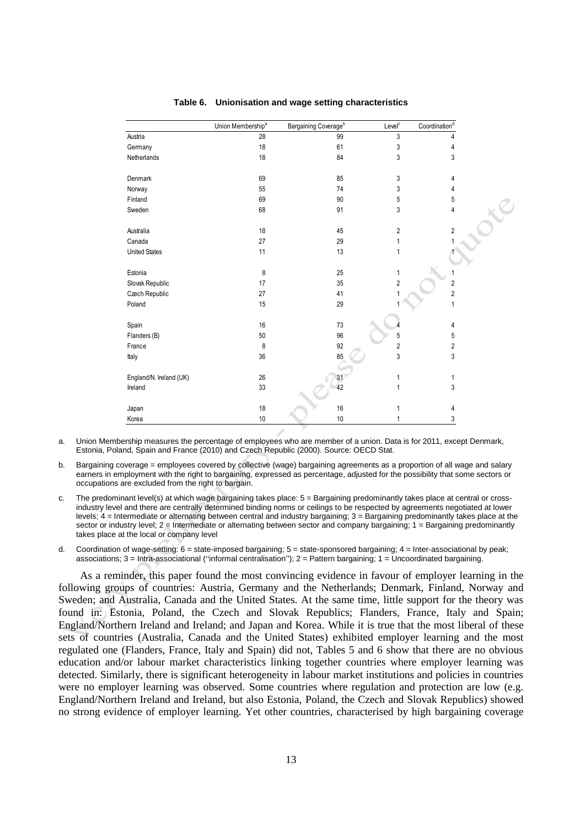|                         | Union Membership <sup>a</sup> | Bargaining Coverage <sup>b</sup> | Level <sup>c</sup> | Coordination <sup>d</sup> |
|-------------------------|-------------------------------|----------------------------------|--------------------|---------------------------|
| Austria                 | 28                            | 99                               | 3                  | 4                         |
| Germany                 | 18                            | 61                               | 3                  | 4                         |
| Netherlands             | 18                            | 84                               | 3                  | 3                         |
| Denmark                 | 69                            | 85                               | 3                  | 4                         |
| Norway                  | 55                            | 74                               | 3                  | 4                         |
| Finland                 | 69                            | $90\,$                           | 5                  | 5                         |
| Sweden                  | 68                            | 91                               | 3                  | 4                         |
| Australia               | 18                            | 45                               | $\overline{2}$     | 2                         |
| Canada                  | 27                            | 29                               | 1                  |                           |
| <b>United States</b>    | 11                            | 13                               | 1                  |                           |
| Estonia                 | 8                             | 25                               | 1                  |                           |
| Slovak Republic         | 17                            | 35                               | $\overline{2}$     | $\overline{c}$            |
| Czech Republic          | 27                            | 41                               |                    | $\overline{c}$            |
| Poland                  | 15                            | 29                               |                    | 1                         |
| Spain                   | 16                            | 73                               |                    | 4                         |
| Flanders (B)            | 50                            | 96                               | 5                  | 5                         |
| France                  | 8                             | 92                               | $\sqrt{2}$         | 2                         |
| Italy                   | 36                            | 85                               | 3                  | 3                         |
| England/N. Ireland (UK) | 26                            | $\frac{31}{42}$                  | 1                  | 1                         |
| Ireland                 | 33                            |                                  | 1                  | 3                         |
| Japan                   | 18                            | 16                               | 1                  | 4                         |
| Korea                   | 10                            | $10$                             | 1                  | 3                         |

## **Table 6. Unionisation and wage setting characteristics**

a. Union Membership measures the percentage of employees who are member of a union. Data is for 2011, except Denmark, Estonia, Poland, Spain and France (2010) and Czech Republic (2000). Source: OECD Stat.

b. Bargaining coverage = employees covered by collective (wage) bargaining agreements as a proportion of all wage and salary earners in employment with the right to bargaining, expressed as percentage, adjusted for the possibility that some sectors or occupations are excluded from the right to bargain.

- c. The predominant level(s) at which wage bargaining takes place: 5 = Bargaining predominantly takes place at central or crossindustry level and there are centrally determined binding norms or ceilings to be respected by agreements negotiated at lower levels; 4 = Intermediate or alternating between central and industry bargaining; 3 = Bargaining predominantly takes place at the sector or industry level;  $2 =$  Intermediate or alternating between sector and company bargaining;  $1 =$  Bargaining predominantly takes place at the local or company level
- d. Coordination of wage-setting: 6 = state-imposed bargaining; 5 = state-sponsored bargaining; 4 = Inter‐associational by peak; associations; 3 = Intra-associational ("informal centralisation"); 2 = Pattern bargaining; 1 = Uncoordinated bargaining.

As a reminder, this paper found the most convincing evidence in favour of employer learning in the following groups of countries: Austria, Germany and the Netherlands; Denmark, Finland, Norway and Sweden; and Australia, Canada and the United States. At the same time, little support for the theory was found in: Estonia, Poland, the Czech and Slovak Republics; Flanders, France, Italy and Spain; England/Northern Ireland and Ireland; and Japan and Korea. While it is true that the most liberal of these sets of countries (Australia, Canada and the United States) exhibited employer learning and the most regulated one (Flanders, France, Italy and Spain) did not, Tables 5 and 6 show that there are no obvious education and/or labour market characteristics linking together countries where employer learning was detected. Similarly, there is significant heterogeneity in labour market institutions and policies in countries were no employer learning was observed. Some countries where regulation and protection are low (e.g. England/Northern Ireland and Ireland, but also Estonia, Poland, the Czech and Slovak Republics) showed no strong evidence of employer learning. Yet other countries, characterised by high bargaining coverage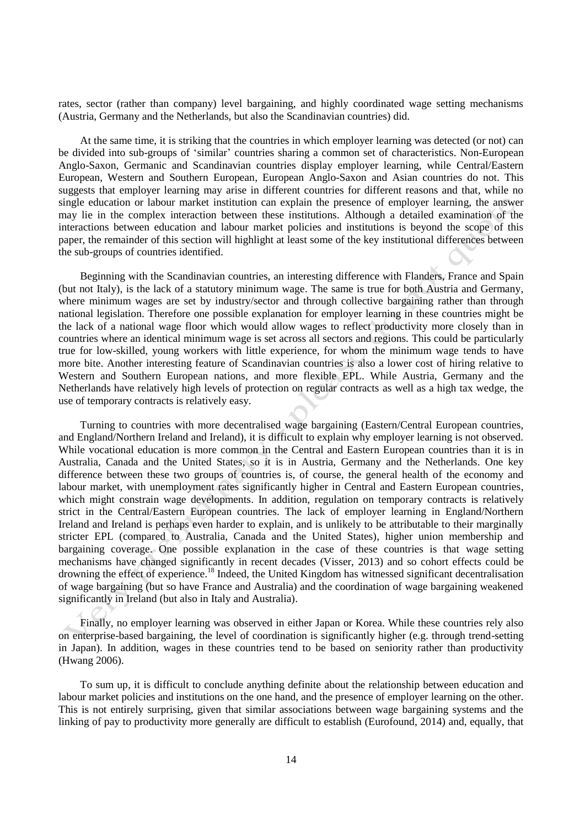rates, sector (rather than company) level bargaining, and highly coordinated wage setting mechanisms (Austria, Germany and the Netherlands, but also the Scandinavian countries) did.

At the same time, it is striking that the countries in which employer learning was detected (or not) can be divided into sub-groups of 'similar' countries sharing a common set of characteristics. Non-European Anglo-Saxon, Germanic and Scandinavian countries display employer learning, while Central/Eastern European, Western and Southern European, European Anglo-Saxon and Asian countries do not. This suggests that employer learning may arise in different countries for different reasons and that, while no single education or labour market institution can explain the presence of employer learning, the answer may lie in the complex interaction between these institutions. Although a detailed examination of the interactions between education and labour market policies and institutions is beyond the scope of this paper, the remainder of this section will highlight at least some of the key institutional differences between the sub-groups of countries identified.

Beginning with the Scandinavian countries, an interesting difference with Flanders, France and Spain (but not Italy), is the lack of a statutory minimum wage. The same is true for both Austria and Germany, where minimum wages are set by industry/sector and through collective bargaining rather than through national legislation. Therefore one possible explanation for employer learning in these countries might be the lack of a national wage floor which would allow wages to reflect productivity more closely than in countries where an identical minimum wage is set across all sectors and regions. This could be particularly true for low-skilled, young workers with little experience, for whom the minimum wage tends to have more bite. Another interesting feature of Scandinavian countries is also a lower cost of hiring relative to Western and Southern European nations, and more flexible EPL. While Austria, Germany and the Netherlands have relatively high levels of protection on regular contracts as well as a high tax wedge, the use of temporary contracts is relatively easy.

Turning to countries with more decentralised wage bargaining (Eastern/Central European countries, and England/Northern Ireland and Ireland), it is difficult to explain why employer learning is not observed. While vocational education is more common in the Central and Eastern European countries than it is in Australia, Canada and the United States, so it is in Austria, Germany and the Netherlands. One key difference between these two groups of countries is, of course, the general health of the economy and labour market, with unemployment rates significantly higher in Central and Eastern European countries, which might constrain wage developments. In addition, regulation on temporary contracts is relatively strict in the Central/Eastern European countries. The lack of employer learning in England/Northern Ireland and Ireland is perhaps even harder to explain, and is unlikely to be attributable to their marginally stricter EPL (compared to Australia, Canada and the United States), higher union membership and bargaining coverage. One possible explanation in the case of these countries is that wage setting mechanisms have changed significantly in recent decades (Visser, 2013) and so cohort effects could be drowning the effect of experience.<sup>18</sup> Indeed, the United Kingdom has witnessed significant decentralisation of wage bargaining (but so have France and Australia) and the coordination of wage bargaining weakened significantly in Ireland (but also in Italy and Australia).

Finally, no employer learning was observed in either Japan or Korea. While these countries rely also on enterprise-based bargaining, the level of coordination is significantly higher (e.g. through trend-setting in Japan). In addition, wages in these countries tend to be based on seniority rather than productivity (Hwang 2006).

To sum up, it is difficult to conclude anything definite about the relationship between education and labour market policies and institutions on the one hand, and the presence of employer learning on the other. This is not entirely surprising, given that similar associations between wage bargaining systems and the linking of pay to productivity more generally are difficult to establish (Eurofound, 2014) and, equally, that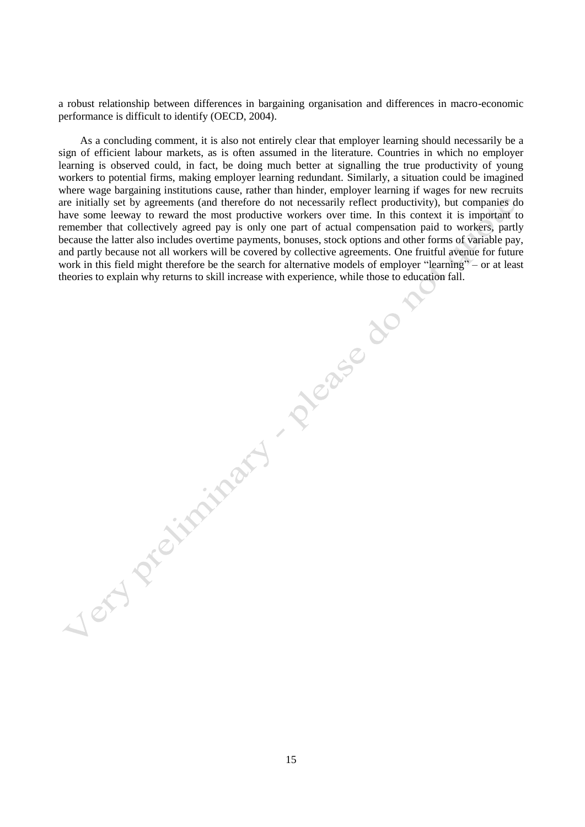a robust relationship between differences in bargaining organisation and differences in macro-economic performance is difficult to identify (OECD, 2004).

As a concluding comment, it is also not entirely clear that employer learning should necessarily be a sign of efficient labour markets, as is often assumed in the literature. Countries in which no employer learning is observed could, in fact, be doing much better at signalling the true productivity of young workers to potential firms, making employer learning redundant. Similarly, a situation could be imagined where wage bargaining institutions cause, rather than hinder, employer learning if wages for new recruits are initially set by agreements (and therefore do not necessarily reflect productivity), but companies do have some leeway to reward the most productive workers over time. In this context it is important to remember that collectively agreed pay is only one part of actual compensation paid to workers, partly because the latter also includes overtime payments, bonuses, stock options and other forms of variable pay, and partly because not all workers will be covered by collective agreements. One fruitful avenue for future work in this field might therefore be the search for alternative models of employer "learning" – or at least theories to explain why returns to skill increase with experience, while those to education fall. the corporation of the skill increase with the skill increase with the skill increase with the skill increase with the skill increase with the skill increase with the skill increase with the skill increase with the skill i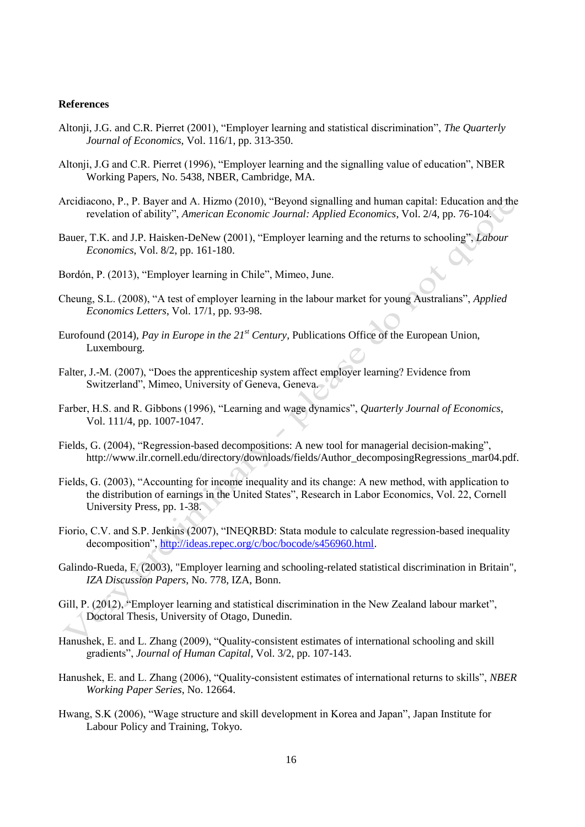## **References**

- Altonji, J.G. and C.R. Pierret (2001), "Employer learning and statistical discrimination", *The Quarterly Journal of Economics*, Vol. 116/1, pp. 313-350.
- Altonji, J.G and C.R. Pierret (1996), "Employer learning and the signalling value of education", NBER Working Papers, No. 5438, NBER, Cambridge, MA.
- Arcidiacono, P., P. Bayer and A. Hizmo (2010), "Beyond signalling and human capital: Education and the revelation of ability", *American Economic Journal: Applied Economics*, Vol. 2/4, pp. 76-104.
- Bauer, T.K. and J.P. Haisken-DeNew (2001), "Employer learning and the returns to schooling", *Labour Economics*, Vol. 8/2, pp. 161-180.
- Bordón, P. (2013), "Employer learning in Chile", Mimeo, June.
- Cheung, S.L. (2008), "A test of employer learning in the labour market for young Australians", *Applied Economics Letters*, Vol. 17/1, pp. 93-98.
- Eurofound (2014), *Pay in Europe in the 21st Century*, Publications Office of the European Union, Luxembourg.
- Falter, J.-M. (2007), "Does the apprenticeship system affect employer learning? Evidence from Switzerland", Mimeo, University of Geneva, Geneva.
- Farber, H.S. and R. Gibbons (1996), "Learning and wage dynamics", *Quarterly Journal of Economics*, Vol. 111/4, pp. 1007-1047.
- Fields, G. (2004), "Regression-based decompositions: A new tool for managerial decision-making", http://www.ilr.cornell.edu/directory/downloads/fields/Author\_decomposingRegressions\_mar04.pdf.
- Fields, G. (2003), "Accounting for income inequality and its change: A new method, with application to the distribution of earnings in the United States", Research in Labor Economics, Vol. 22, Cornell University Press, pp. 1-38.
- Fiorio, C.V. and S.P. Jenkins (2007), "INEQRBD: Stata module to calculate regression-based inequality decomposition", [http://ideas.repec.org/c/boc/bocode/s456960.html.](http://ideas.repec.org/c/boc/bocode/s456960.html)
- Galindo-Rueda, F. (2003), "Employer learning and schooling-related statistical discrimination in Britain", *IZA Discussion Papers*, No. 778, IZA, Bonn.
- Gill, P. (2012), "Employer learning and statistical discrimination in the New Zealand labour market", Doctoral Thesis, University of Otago, Dunedin.
- Hanushek, E. and L. Zhang (2009), "Quality-consistent estimates of international schooling and skill gradients", *Journal of Human Capital*, Vol. 3/2, pp. 107-143.
- Hanushek, E. and L. Zhang (2006), "Quality-consistent estimates of international returns to skills", *NBER Working Paper Series*, No. 12664.
- Hwang, S.K (2006), "Wage structure and skill development in Korea and Japan", Japan Institute for Labour Policy and Training, Tokyo.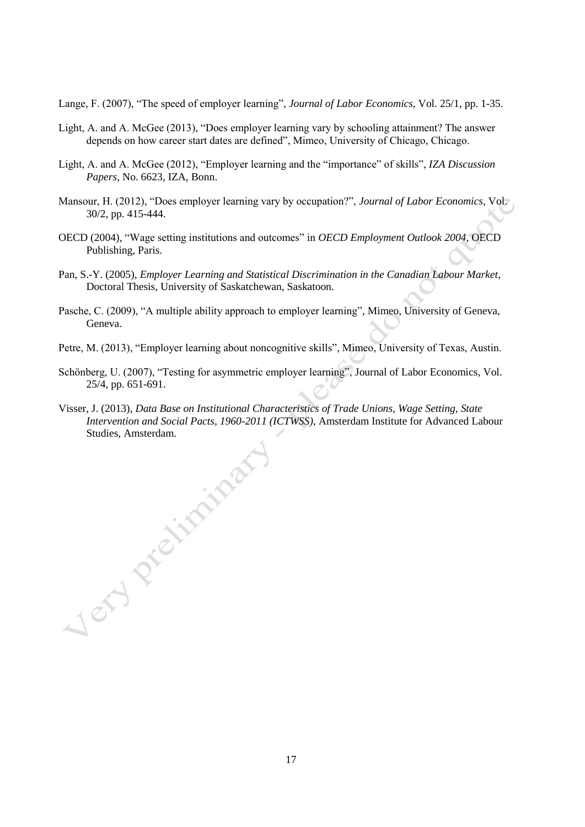Lange, F. (2007), "The speed of employer learning", *Journal of Labor Economics*, Vol. 25/1, pp. 1-35.

- Light, A. and A. McGee (2013), "Does employer learning vary by schooling attainment? The answer depends on how career start dates are defined", Mimeo, University of Chicago, Chicago.
- Light, A. and A. McGee (2012), "Employer learning and the "importance" of skills", *IZA Discussion Papers*, No. 6623, IZA, Bonn.
- Mansour, H. (2012), "Does employer learning vary by occupation?", *Journal of Labor Economics*, Vol. 30/2, pp. 415-444.
- OECD (2004), "Wage setting institutions and outcomes" in *OECD Employment Outlook 2004*, OECD Publishing, Paris.
- Pan, S.-Y. (2005), *Employer Learning and Statistical Discrimination in the Canadian Labour Market*, Doctoral Thesis, University of Saskatchewan, Saskatoon.
- Pasche, C. (2009), "A multiple ability approach to employer learning", Mimeo, University of Geneva, Geneva.
- Petre, M. (2013), "Employer learning about noncognitive skills", Mimeo, University of Texas, Austin.
- Schönberg, U. (2007), "Testing for asymmetric employer learning", Journal of Labor Economics, Vol. 25/4, pp. 651-691.
- Visser, J. (2013), *Data Base on Institutional Characteristics of Trade Unions, Wage Setting, State Intervention and Social Pacts, 1960-2011 (ICTWSS)*, Amsterdam Institute for Advanced Labour Studies, Amsterdam.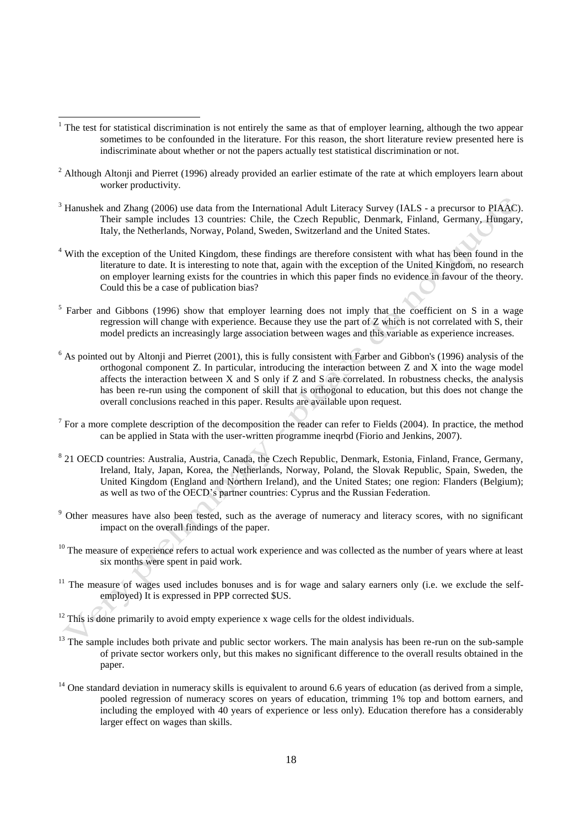<sup>1</sup> The test for statistical discrimination is not entirely the same as that of employer learning, although the two appear sometimes to be confounded in the literature. For this reason, the short literature review presented here is indiscriminate about whether or not the papers actually test statistical discrimination or not.

- $<sup>2</sup>$  Although Altonji and Pierret (1996) already provided an earlier estimate of the rate at which employers learn about</sup> worker productivity.
- <sup>3</sup> Hanushek and Zhang (2006) use data from the International Adult Literacy Survey (IALS a precursor to PIAAC). Their sample includes 13 countries: Chile, the Czech Republic, Denmark, Finland, Germany, Hungary, Italy, the Netherlands, Norway, Poland, Sweden, Switzerland and the United States.
- <sup>4</sup> With the exception of the United Kingdom, these findings are therefore consistent with what has been found in the literature to date. It is interesting to note that, again with the exception of the United Kingdom, no research on employer learning exists for the countries in which this paper finds no evidence in favour of the theory. Could this be a case of publication bias?
- $5$  Farber and Gibbons (1996) show that employer learning does not imply that the coefficient on S in a wage regression will change with experience. Because they use the part of Z which is not correlated with S, their model predicts an increasingly large association between wages and this variable as experience increases.
- $<sup>6</sup>$  As pointed out by Altonji and Pierret (2001), this is fully consistent with Farber and Gibbon's (1996) analysis of the</sup> orthogonal component Z. In particular, introducing the interaction between Z and X into the wage model affects the interaction between X and S only if Z and S are correlated. In robustness checks, the analysis has been re-run using the component of skill that is orthogonal to education, but this does not change the overall conclusions reached in this paper. Results are available upon request.
- $7$  For a more complete description of the decomposition the reader can refer to Fields (2004). In practice, the method can be applied in Stata with the user-written programme ineqrbd (Fiorio and Jenkins, 2007).
- <sup>8</sup> 21 OECD countries: Australia, Austria, Canada, the Czech Republic, Denmark, Estonia, Finland, France, Germany, Ireland, Italy, Japan, Korea, the Netherlands, Norway, Poland, the Slovak Republic, Spain, Sweden, the United Kingdom (England and Northern Ireland), and the United States; one region: Flanders (Belgium); as well as two of the OECD's partner countries: Cyprus and the Russian Federation.
- <sup>9</sup> Other measures have also been tested, such as the average of numeracy and literacy scores, with no significant impact on the overall findings of the paper.
- <sup>10</sup> The measure of experience refers to actual work experience and was collected as the number of years where at least six months were spent in paid work.
- $11$  The measure of wages used includes bonuses and is for wage and salary earners only (i.e. we exclude the selfemployed) It is expressed in PPP corrected \$US.

- $13$  The sample includes both private and public sector workers. The main analysis has been re-run on the sub-sample of private sector workers only, but this makes no significant difference to the overall results obtained in the paper.
- $14$  One standard deviation in numeracy skills is equivalent to around 6.6 years of education (as derived from a simple, pooled regression of numeracy scores on years of education, trimming 1% top and bottom earners, and including the employed with 40 years of experience or less only). Education therefore has a considerably larger effect on wages than skills.

 $12$  This is done primarily to avoid empty experience x wage cells for the oldest individuals.